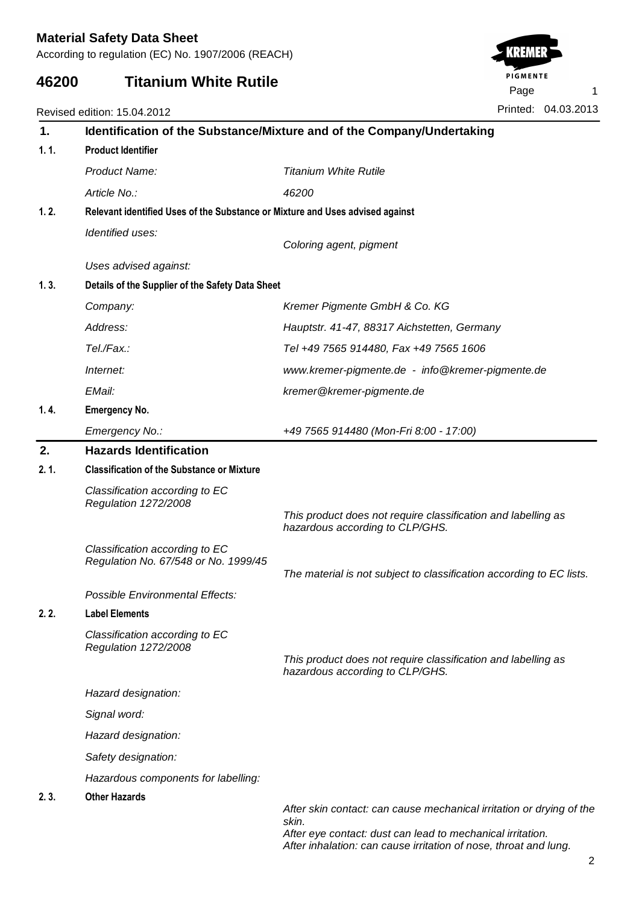According to regulation (EC) No. 1907/2006 (REACH)

## **46200 Titanium White Rutile**

Revised edition: 15.04.2012

| 1.   | Identification of the Substance/Mixture and of the Company/Undertaking |                                                                                                                                             |  |  |  |  |
|------|------------------------------------------------------------------------|---------------------------------------------------------------------------------------------------------------------------------------------|--|--|--|--|
| 1.1. | <b>Product Identifier</b>                                              |                                                                                                                                             |  |  |  |  |
|      | Product Name:                                                          | <b>Titanium White Rutile</b>                                                                                                                |  |  |  |  |
|      | Article No.:                                                           | 46200                                                                                                                                       |  |  |  |  |
| 1.2. |                                                                        | Relevant identified Uses of the Substance or Mixture and Uses advised against                                                               |  |  |  |  |
|      | Identified uses:                                                       |                                                                                                                                             |  |  |  |  |
|      |                                                                        | Coloring agent, pigment                                                                                                                     |  |  |  |  |
|      | Uses advised against:                                                  |                                                                                                                                             |  |  |  |  |
| 1.3. | Details of the Supplier of the Safety Data Sheet                       |                                                                                                                                             |  |  |  |  |
|      | Company:                                                               | Kremer Pigmente GmbH & Co. KG                                                                                                               |  |  |  |  |
|      | Address:                                                               | Hauptstr. 41-47, 88317 Aichstetten, Germany                                                                                                 |  |  |  |  |
|      | Tel./Fax.:                                                             | Tel +49 7565 914480, Fax +49 7565 1606                                                                                                      |  |  |  |  |
|      | Internet:                                                              | www.kremer-pigmente.de - info@kremer-pigmente.de                                                                                            |  |  |  |  |
|      | EMail:                                                                 | kremer@kremer-pigmente.de                                                                                                                   |  |  |  |  |
| 1.4. | <b>Emergency No.</b>                                                   |                                                                                                                                             |  |  |  |  |
|      | Emergency No.:                                                         | +49 7565 914480 (Mon-Fri 8:00 - 17:00)                                                                                                      |  |  |  |  |
| 2.   | <b>Hazards Identification</b>                                          |                                                                                                                                             |  |  |  |  |
| 2.1. | <b>Classification of the Substance or Mixture</b>                      |                                                                                                                                             |  |  |  |  |
|      | Classification according to EC<br>Regulation 1272/2008                 |                                                                                                                                             |  |  |  |  |
|      |                                                                        | This product does not require classification and labelling as<br>hazardous according to CLP/GHS.                                            |  |  |  |  |
|      | Classification according to EC<br>Regulation No. 67/548 or No. 1999/45 | The material is not subject to classification according to EC lists.                                                                        |  |  |  |  |
|      | Possible Environmental Effects:                                        |                                                                                                                                             |  |  |  |  |
| 2.2. | <b>Label Elements</b>                                                  |                                                                                                                                             |  |  |  |  |
|      | Classification according to EC                                         |                                                                                                                                             |  |  |  |  |
|      | Regulation 1272/2008                                                   | This product does not require classification and labelling as<br>hazardous according to CLP/GHS.                                            |  |  |  |  |
|      | Hazard designation:                                                    |                                                                                                                                             |  |  |  |  |
|      | Signal word:                                                           |                                                                                                                                             |  |  |  |  |
|      | Hazard designation:                                                    |                                                                                                                                             |  |  |  |  |
|      | Safety designation:                                                    |                                                                                                                                             |  |  |  |  |
|      | Hazardous components for labelling:                                    |                                                                                                                                             |  |  |  |  |
| 2.3. | <b>Other Hazards</b>                                                   |                                                                                                                                             |  |  |  |  |
|      |                                                                        | After skin contact: can cause mechanical irritation or drying of the<br>skin.<br>After eye contact: dust can lead to mechanical irritation. |  |  |  |  |



After inhalation: can cause irritation of nose, throat and lung.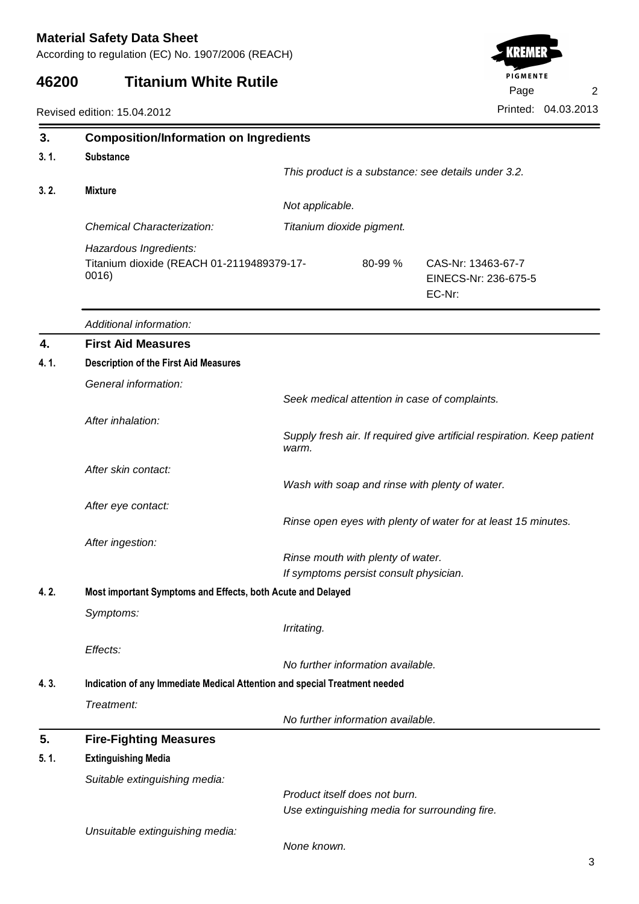According to regulation (EC) No. 1907/2006 (REACH)

## **46200 Titanium White Rutile**



| 3.    | <b>Composition/Information on Ingredients</b>                                                         |                                   |                           |                                                                         |  |
|-------|-------------------------------------------------------------------------------------------------------|-----------------------------------|---------------------------|-------------------------------------------------------------------------|--|
| 3.1.  | <b>Substance</b>                                                                                      |                                   |                           |                                                                         |  |
|       |                                                                                                       |                                   |                           | This product is a substance: see details under 3.2.                     |  |
| 3.2.  | <b>Mixture</b>                                                                                        |                                   |                           |                                                                         |  |
|       |                                                                                                       |                                   | Not applicable.           |                                                                         |  |
|       | Chemical Characterization:                                                                            |                                   | Titanium dioxide pigment. |                                                                         |  |
|       | Hazardous Ingredients:<br>Titanium dioxide (REACH 01-2119489379-17-<br>0016)                          |                                   | 80-99 %                   | CAS-Nr: 13463-67-7<br>EINECS-Nr: 236-675-5<br>EC-Nr:                    |  |
|       | Additional information:                                                                               |                                   |                           |                                                                         |  |
| 4.    | <b>First Aid Measures</b>                                                                             |                                   |                           |                                                                         |  |
| 4. 1. | <b>Description of the First Aid Measures</b>                                                          |                                   |                           |                                                                         |  |
|       | General information:                                                                                  |                                   |                           |                                                                         |  |
|       |                                                                                                       |                                   |                           | Seek medical attention in case of complaints.                           |  |
|       | After inhalation:                                                                                     |                                   |                           |                                                                         |  |
|       |                                                                                                       | warm.                             |                           | Supply fresh air. If required give artificial respiration. Keep patient |  |
|       | After skin contact:                                                                                   |                                   |                           |                                                                         |  |
|       |                                                                                                       |                                   |                           | Wash with soap and rinse with plenty of water.                          |  |
|       | After eye contact:                                                                                    |                                   |                           |                                                                         |  |
|       |                                                                                                       |                                   |                           | Rinse open eyes with plenty of water for at least 15 minutes.           |  |
|       | After ingestion:                                                                                      |                                   |                           |                                                                         |  |
|       |                                                                                                       | Rinse mouth with plenty of water. |                           |                                                                         |  |
| 4.2.  | If symptoms persist consult physician.<br>Most important Symptoms and Effects, both Acute and Delayed |                                   |                           |                                                                         |  |
|       | Symptoms:                                                                                             |                                   |                           |                                                                         |  |
|       |                                                                                                       | Irritating.                       |                           |                                                                         |  |
|       | Effects:                                                                                              |                                   |                           |                                                                         |  |
|       |                                                                                                       | No further information available. |                           |                                                                         |  |
| 4.3.  | Indication of any Immediate Medical Attention and special Treatment needed                            |                                   |                           |                                                                         |  |
|       | Treatment:                                                                                            |                                   |                           |                                                                         |  |
|       |                                                                                                       | No further information available. |                           |                                                                         |  |
| 5.    | <b>Fire-Fighting Measures</b>                                                                         |                                   |                           |                                                                         |  |
| 5.1.  | <b>Extinguishing Media</b>                                                                            |                                   |                           |                                                                         |  |
|       | Suitable extinguishing media:                                                                         |                                   |                           |                                                                         |  |
|       |                                                                                                       | Product itself does not burn.     |                           |                                                                         |  |
|       |                                                                                                       |                                   |                           | Use extinguishing media for surrounding fire.                           |  |
|       | Unsuitable extinguishing media:                                                                       | None known.                       |                           |                                                                         |  |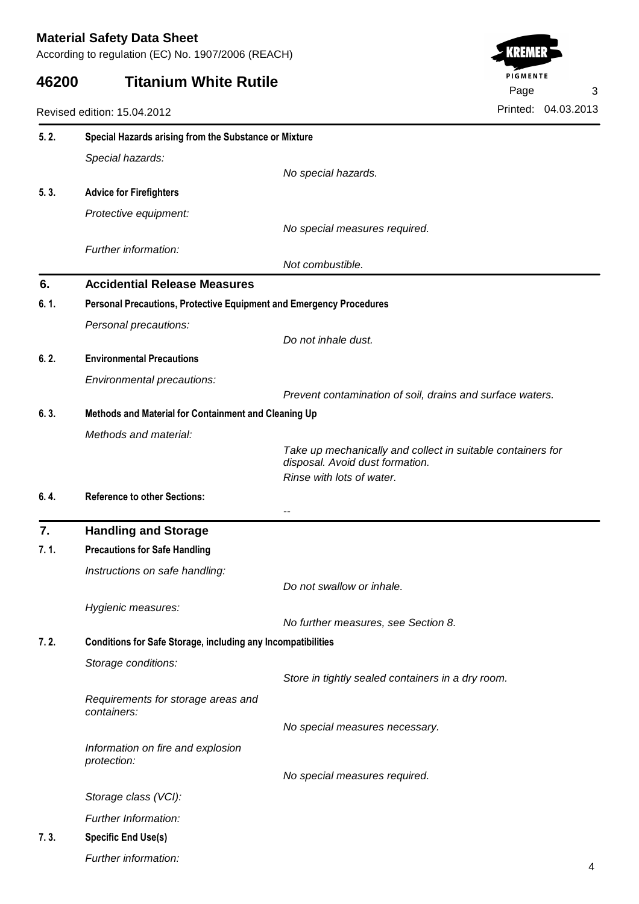According to regulation (EC) No. 1907/2006 (REACH)

## **46200 Titanium White Rutile**



| 5.2.  | Special Hazards arising from the Substance or Mixture               |                                                             |  |  |  |
|-------|---------------------------------------------------------------------|-------------------------------------------------------------|--|--|--|
|       | Special hazards:                                                    |                                                             |  |  |  |
|       |                                                                     | No special hazards.                                         |  |  |  |
| 5.3.  | <b>Advice for Firefighters</b>                                      |                                                             |  |  |  |
|       | Protective equipment:                                               |                                                             |  |  |  |
|       |                                                                     | No special measures required.                               |  |  |  |
|       | Further information:                                                |                                                             |  |  |  |
|       |                                                                     | Not combustible.                                            |  |  |  |
| 6.    | <b>Accidential Release Measures</b>                                 |                                                             |  |  |  |
| 6. 1. | Personal Precautions, Protective Equipment and Emergency Procedures |                                                             |  |  |  |
|       | Personal precautions:                                               |                                                             |  |  |  |
|       |                                                                     | Do not inhale dust.                                         |  |  |  |
| 6.2.  | <b>Environmental Precautions</b>                                    |                                                             |  |  |  |
|       | Environmental precautions:                                          |                                                             |  |  |  |
| 6.3.  | Methods and Material for Containment and Cleaning Up                | Prevent contamination of soil, drains and surface waters.   |  |  |  |
|       |                                                                     |                                                             |  |  |  |
|       | Methods and material:                                               | Take up mechanically and collect in suitable containers for |  |  |  |
|       |                                                                     | disposal. Avoid dust formation.                             |  |  |  |
|       |                                                                     | Rinse with lots of water.                                   |  |  |  |
| 6.4.  | <b>Reference to other Sections:</b>                                 |                                                             |  |  |  |
|       |                                                                     | $-$                                                         |  |  |  |
| 7.    | <b>Handling and Storage</b>                                         |                                                             |  |  |  |
| 7.1.  | <b>Precautions for Safe Handling</b>                                |                                                             |  |  |  |
|       | Instructions on safe handling:                                      |                                                             |  |  |  |
|       |                                                                     | Do not swallow or inhale.                                   |  |  |  |
|       | Hygienic measures:                                                  |                                                             |  |  |  |
| 7.2.  |                                                                     | No further measures, see Section 8.                         |  |  |  |
|       | <b>Conditions for Safe Storage, including any Incompatibilities</b> |                                                             |  |  |  |
|       | Storage conditions:                                                 | Store in tightly sealed containers in a dry room.           |  |  |  |
|       |                                                                     |                                                             |  |  |  |
|       | Requirements for storage areas and<br>containers:                   |                                                             |  |  |  |
|       |                                                                     | No special measures necessary.                              |  |  |  |
|       | Information on fire and explosion                                   |                                                             |  |  |  |
|       | protection:                                                         |                                                             |  |  |  |
|       |                                                                     | No special measures required.                               |  |  |  |
|       | Storage class (VCI):                                                |                                                             |  |  |  |
|       | Further Information:                                                |                                                             |  |  |  |
| 7.3.  | <b>Specific End Use(s)</b>                                          |                                                             |  |  |  |
|       | Further information:                                                |                                                             |  |  |  |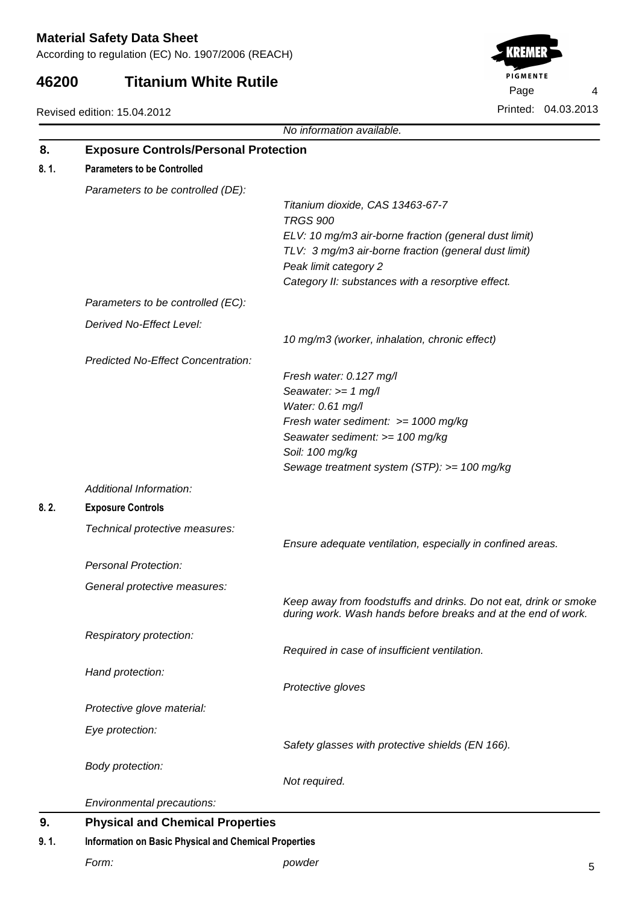According to regulation (EC) No. 1907/2006 (REACH)

#### **46200 Titanium White Rutile**

Revised edition: 15.04.2012



No information available. **Exposure Controls/Personal Protection 8. Parameters to be Controlled 8. 1.** Parameters to be controlled (DE): Titanium dioxide, CAS 13463-67-7 TRGS 900 ELV: 10 mg/m3 air-borne fraction (general dust limit) TLV: 3 mg/m3 air-borne fraction (general dust limit) Peak limit category 2 Category II: substances with a resorptive effect. Parameters to be controlled (EC): Derived No-Effect Level: 10 mg/m3 (worker, inhalation, chronic effect) Predicted No-Effect Concentration: Fresh water: 0.127 mg/l Seawater:  $>= 1$  mg/l Water: 0.61 mg/l Fresh water sediment: >= 1000 mg/kg Seawater sediment: >= 100 mg/kg Soil: 100 mg/kg Sewage treatment system (STP): >= 100 mg/kg Additional Information: **Exposure Controls 8. 2.** Technical protective measures: Ensure adequate ventilation, especially in confined areas. Personal Protection: General protective measures: Keep away from foodstuffs and drinks. Do not eat, drink or smoke during work. Wash hands before breaks and at the end of work. Respiratory protection: Required in case of insufficient ventilation. Hand protection: Protective gloves Protective glove material: Eye protection: Safety glasses with protective shields (EN 166). Body protection: Not required. Environmental precautions: **Physical and Chemical Properties 9.**

## **Information on Basic Physical and Chemical Properties 9. 1.**

Form: 5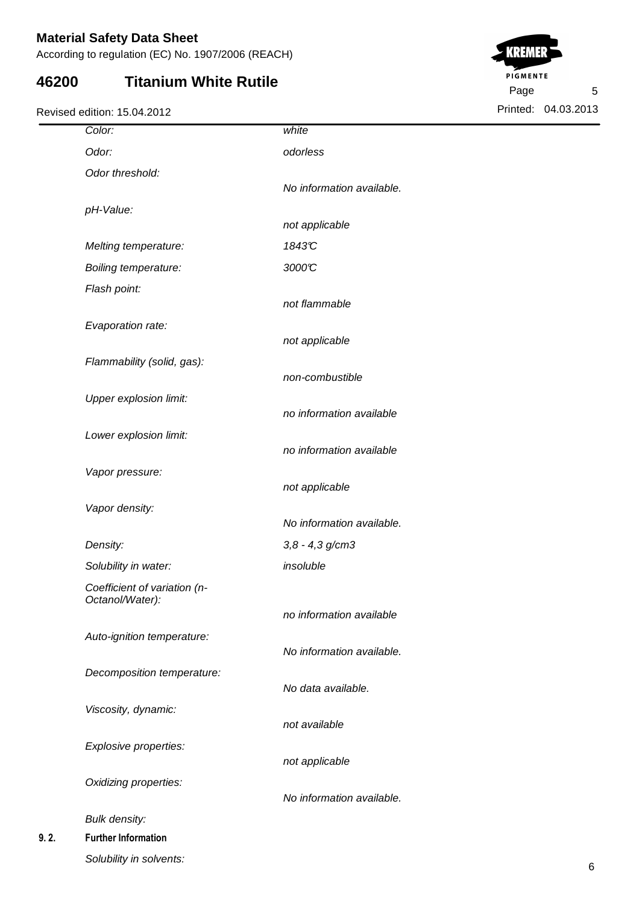According to regulation (EC) No. 1907/2006 (REACH)

## **46200 Titanium White Rutile**

Revised edition: 15.04.2012



| Color:                                          | white                     |
|-------------------------------------------------|---------------------------|
| Odor:                                           | odorless                  |
| Odor threshold:                                 |                           |
|                                                 | No information available. |
| pH-Value:                                       |                           |
|                                                 | not applicable            |
| Melting temperature:                            | 1843C                     |
| <b>Boiling temperature:</b>                     | 3000°C                    |
| Flash point:                                    |                           |
|                                                 | not flammable             |
| Evaporation rate:                               |                           |
|                                                 | not applicable            |
| Flammability (solid, gas):                      |                           |
|                                                 | non-combustible           |
| Upper explosion limit:                          | no information available  |
|                                                 |                           |
| Lower explosion limit:                          | no information available  |
| Vapor pressure:                                 |                           |
|                                                 | not applicable            |
| Vapor density:                                  |                           |
|                                                 | No information available. |
| Density:                                        | $3,8 - 4,3$ g/cm3         |
| Solubility in water:                            | insoluble                 |
| Coefficient of variation (n-<br>Octanol/Water): |                           |
|                                                 | no information available  |
| Auto-ignition temperature:                      |                           |
|                                                 | No information available. |
| Decomposition temperature:                      |                           |
|                                                 | No data available.        |
| Viscosity, dynamic:                             |                           |
|                                                 | not available             |
| Explosive properties:                           | not applicable            |
|                                                 |                           |
| Oxidizing properties:                           | No information available. |
| <b>Bulk density:</b>                            |                           |
| <b>Further Information</b>                      |                           |
|                                                 |                           |

**9.2.**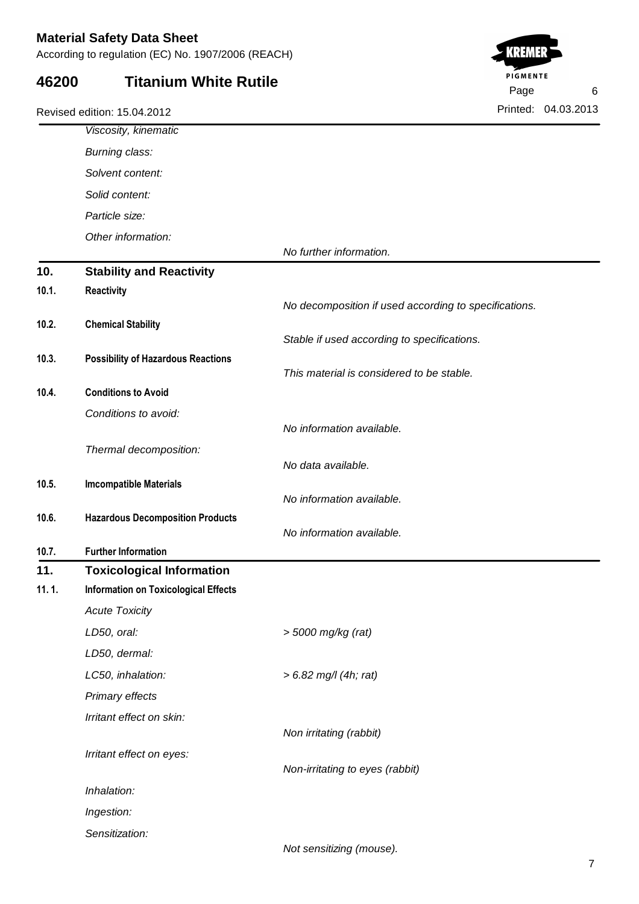According to regulation (EC) No. 1907/2006 (REACH)

#### **46200 Titanium White Rutile**



|       | Viscosity, kinematic                        |                                                       |
|-------|---------------------------------------------|-------------------------------------------------------|
|       | Burning class:                              |                                                       |
|       | Solvent content:                            |                                                       |
|       | Solid content:                              |                                                       |
|       | Particle size:                              |                                                       |
|       | Other information:                          |                                                       |
|       |                                             | No further information.                               |
| 10.   | <b>Stability and Reactivity</b>             |                                                       |
| 10.1. | <b>Reactivity</b>                           | No decomposition if used according to specifications. |
| 10.2. | <b>Chemical Stability</b>                   |                                                       |
|       |                                             | Stable if used according to specifications.           |
| 10.3. | <b>Possibility of Hazardous Reactions</b>   |                                                       |
|       |                                             | This material is considered to be stable.             |
| 10.4. | <b>Conditions to Avoid</b>                  |                                                       |
|       | Conditions to avoid:                        |                                                       |
|       |                                             | No information available.                             |
|       | Thermal decomposition:                      | No data available.                                    |
| 10.5. | <b>Imcompatible Materials</b>               |                                                       |
|       |                                             | No information available.                             |
| 10.6. | <b>Hazardous Decomposition Products</b>     |                                                       |
|       |                                             | No information available.                             |
| 10.7. | <b>Further Information</b>                  |                                                       |
| 11.   | <b>Toxicological Information</b>            |                                                       |
| 11.1. | <b>Information on Toxicological Effects</b> |                                                       |
|       | <b>Acute Toxicity</b>                       |                                                       |
|       | LD50, oral:                                 | > 5000 mg/kg (rat)                                    |
|       | LD50, dermal:                               |                                                       |
|       | LC50, inhalation:                           | $> 6.82$ mg/l (4h; rat)                               |
|       | Primary effects                             |                                                       |
|       | Irritant effect on skin:                    |                                                       |
|       |                                             | Non irritating (rabbit)                               |
|       | Irritant effect on eyes:                    | Non-irritating to eyes (rabbit)                       |
|       | Inhalation:                                 |                                                       |
|       |                                             |                                                       |
|       | Ingestion:                                  |                                                       |
|       | Sensitization:                              | Not sensitizing (mouse).                              |
|       |                                             |                                                       |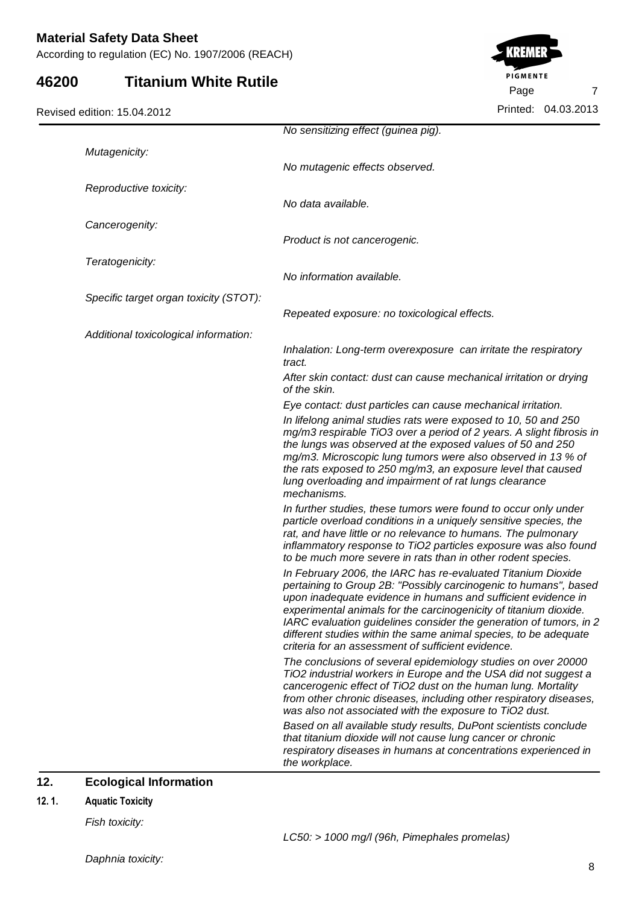According to regulation (EC) No. 1907/2006 (REACH)

### **46200 Titanium White Rutile**

Revised edition: 15.04.2012



|                                        | No sensitizing effect (guinea pig).                                                                                                                                                                                                                                                                                                                                                                                                                                    |
|----------------------------------------|------------------------------------------------------------------------------------------------------------------------------------------------------------------------------------------------------------------------------------------------------------------------------------------------------------------------------------------------------------------------------------------------------------------------------------------------------------------------|
| Mutagenicity:                          |                                                                                                                                                                                                                                                                                                                                                                                                                                                                        |
|                                        | No mutagenic effects observed.                                                                                                                                                                                                                                                                                                                                                                                                                                         |
| Reproductive toxicity:                 |                                                                                                                                                                                                                                                                                                                                                                                                                                                                        |
|                                        | No data available.                                                                                                                                                                                                                                                                                                                                                                                                                                                     |
| Cancerogenity:                         |                                                                                                                                                                                                                                                                                                                                                                                                                                                                        |
|                                        | Product is not cancerogenic.                                                                                                                                                                                                                                                                                                                                                                                                                                           |
| Teratogenicity:                        |                                                                                                                                                                                                                                                                                                                                                                                                                                                                        |
|                                        | No information available.                                                                                                                                                                                                                                                                                                                                                                                                                                              |
| Specific target organ toxicity (STOT): |                                                                                                                                                                                                                                                                                                                                                                                                                                                                        |
|                                        | Repeated exposure: no toxicological effects.                                                                                                                                                                                                                                                                                                                                                                                                                           |
| Additional toxicological information:  |                                                                                                                                                                                                                                                                                                                                                                                                                                                                        |
|                                        | Inhalation: Long-term overexposure can irritate the respiratory<br>tract.                                                                                                                                                                                                                                                                                                                                                                                              |
|                                        | After skin contact: dust can cause mechanical irritation or drying<br>of the skin.                                                                                                                                                                                                                                                                                                                                                                                     |
|                                        | Eye contact: dust particles can cause mechanical irritation.                                                                                                                                                                                                                                                                                                                                                                                                           |
|                                        | In lifelong animal studies rats were exposed to 10, 50 and 250<br>mg/m3 respirable TiO3 over a period of 2 years. A slight fibrosis in<br>the lungs was observed at the exposed values of 50 and 250<br>mg/m3. Microscopic lung tumors were also observed in 13 % of<br>the rats exposed to 250 mg/m3, an exposure level that caused<br>lung overloading and impairment of rat lungs clearance<br>mechanisms.                                                          |
|                                        | In further studies, these tumors were found to occur only under<br>particle overload conditions in a uniquely sensitive species, the<br>rat, and have little or no relevance to humans. The pulmonary<br>inflammatory response to TiO2 particles exposure was also found<br>to be much more severe in rats than in other rodent species.                                                                                                                               |
|                                        | In February 2006, the IARC has re-evaluated Titanium Dioxide<br>pertaining to Group 2B: "Possibly carcinogenic to humans", based<br>upon inadequate evidence in humans and sufficient evidence in<br>experimental animals for the carcinogenicity of titanium dioxide.<br>IARC evaluation guidelines consider the generation of tumors, in 2<br>different studies within the same animal species, to be adequate<br>criteria for an assessment of sufficient evidence. |
|                                        | The conclusions of several epidemiology studies on over 20000<br>TiO2 industrial workers in Europe and the USA did not suggest a<br>cancerogenic effect of TiO2 dust on the human lung. Mortality<br>from other chronic diseases, including other respiratory diseases,<br>was also not associated with the exposure to TiO2 dust.                                                                                                                                     |
|                                        | Based on all available study results, DuPont scientists conclude<br>that titanium dioxide will not cause lung cancer or chronic<br>respiratory diseases in humans at concentrations experienced in<br>the workplace.                                                                                                                                                                                                                                                   |

## **12.** Ecological Information

#### 12.1. **Aquatic Toxicity**

Fish toxicity: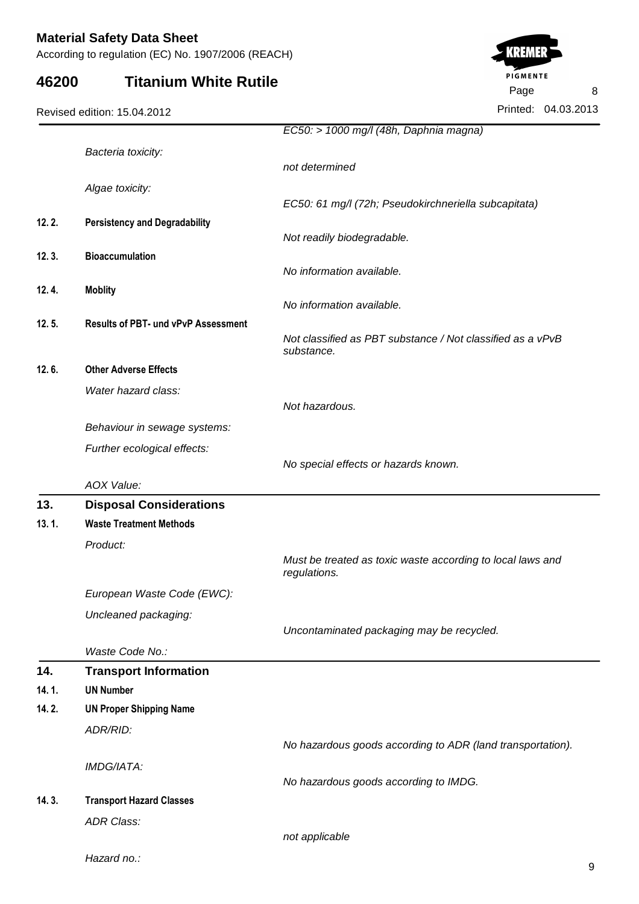According to regulation (EC) No. 1907/2006 (REACH)

## **46200 Titanium White Rutile**

|       |                                            | EC50: > 1000 mg/l (48h, Daphnia magna)                                     |
|-------|--------------------------------------------|----------------------------------------------------------------------------|
|       | Bacteria toxicity:                         |                                                                            |
|       |                                            | not determined                                                             |
|       | Algae toxicity:                            |                                                                            |
|       |                                            | EC50: 61 mg/l (72h; Pseudokirchneriella subcapitata)                       |
| 12.2. | <b>Persistency and Degradability</b>       |                                                                            |
|       |                                            | Not readily biodegradable.                                                 |
| 12.3. | <b>Bioaccumulation</b>                     |                                                                            |
|       |                                            | No information available.                                                  |
| 12.4. | <b>Moblity</b>                             |                                                                            |
|       |                                            | No information available.                                                  |
| 12.5. | <b>Results of PBT- und vPvP Assessment</b> | Not classified as PBT substance / Not classified as a vPvB<br>substance.   |
| 12.6. | <b>Other Adverse Effects</b>               |                                                                            |
|       | Water hazard class:                        |                                                                            |
|       |                                            | Not hazardous.                                                             |
|       | Behaviour in sewage systems:               |                                                                            |
|       | Further ecological effects:                |                                                                            |
|       |                                            | No special effects or hazards known.                                       |
|       | AOX Value:                                 |                                                                            |
| 13.   | <b>Disposal Considerations</b>             |                                                                            |
| 13.1. | <b>Waste Treatment Methods</b>             |                                                                            |
|       | Product:                                   |                                                                            |
|       |                                            | Must be treated as toxic waste according to local laws and<br>regulations. |
|       | European Waste Code (EWC):                 |                                                                            |
|       | Uncleaned packaging:                       |                                                                            |
|       |                                            | Uncontaminated packaging may be recycled.                                  |
|       | Waste Code No.:                            |                                                                            |
| 14.   | <b>Transport Information</b>               |                                                                            |
| 14.1. | <b>UN Number</b>                           |                                                                            |
| 14.2. | <b>UN Proper Shipping Name</b>             |                                                                            |
|       | ADR/RID:                                   |                                                                            |
|       |                                            | No hazardous goods according to ADR (land transportation).                 |
|       | IMDG/IATA:                                 |                                                                            |
|       |                                            | No hazardous goods according to IMDG.                                      |
| 14.3. | <b>Transport Hazard Classes</b>            |                                                                            |
|       |                                            |                                                                            |
|       | <b>ADR Class:</b>                          | not applicable                                                             |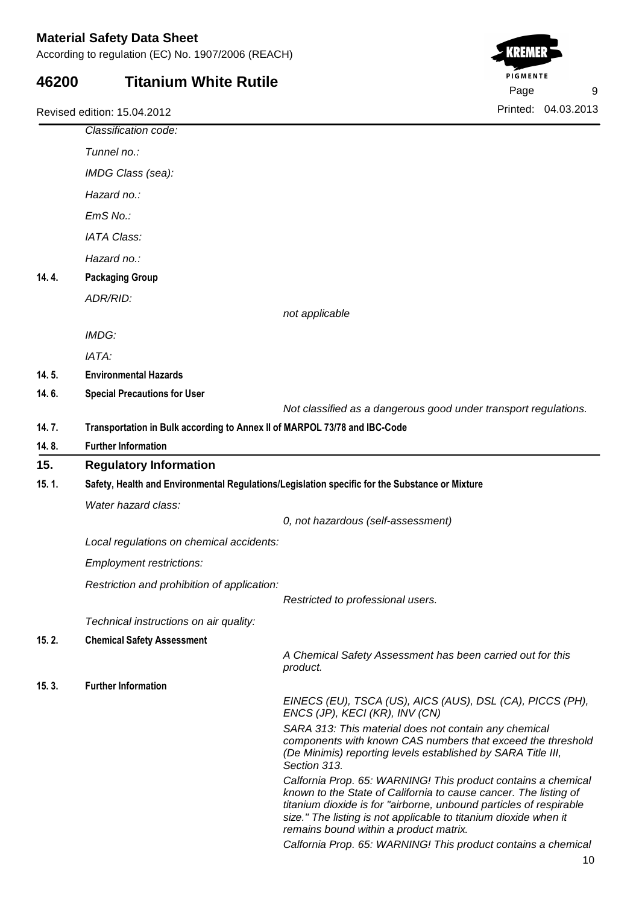According to regulation (EC) No. 1907/2006 (REACH)

## **46200 Titanium White Rutile**



|                                      | Classification code:                                                      |                                                                                                                                                                                                                                                                                                                       |  |
|--------------------------------------|---------------------------------------------------------------------------|-----------------------------------------------------------------------------------------------------------------------------------------------------------------------------------------------------------------------------------------------------------------------------------------------------------------------|--|
|                                      | Tunnel no.:                                                               |                                                                                                                                                                                                                                                                                                                       |  |
|                                      | IMDG Class (sea):                                                         |                                                                                                                                                                                                                                                                                                                       |  |
|                                      | Hazard no.:                                                               |                                                                                                                                                                                                                                                                                                                       |  |
|                                      | EmS No.:                                                                  |                                                                                                                                                                                                                                                                                                                       |  |
|                                      | <b>IATA Class:</b>                                                        |                                                                                                                                                                                                                                                                                                                       |  |
|                                      | Hazard no.:                                                               |                                                                                                                                                                                                                                                                                                                       |  |
| 14.4.                                | <b>Packaging Group</b>                                                    |                                                                                                                                                                                                                                                                                                                       |  |
|                                      | ADR/RID:                                                                  |                                                                                                                                                                                                                                                                                                                       |  |
|                                      |                                                                           | not applicable                                                                                                                                                                                                                                                                                                        |  |
|                                      | IMDG:                                                                     |                                                                                                                                                                                                                                                                                                                       |  |
|                                      | IATA:                                                                     |                                                                                                                                                                                                                                                                                                                       |  |
| 14.5.                                | <b>Environmental Hazards</b>                                              |                                                                                                                                                                                                                                                                                                                       |  |
| 14.6.                                | <b>Special Precautions for User</b>                                       |                                                                                                                                                                                                                                                                                                                       |  |
|                                      |                                                                           | Not classified as a dangerous good under transport regulations.                                                                                                                                                                                                                                                       |  |
| 14.7.                                | Transportation in Bulk according to Annex II of MARPOL 73/78 and IBC-Code |                                                                                                                                                                                                                                                                                                                       |  |
| 14.8.                                | <b>Further Information</b>                                                |                                                                                                                                                                                                                                                                                                                       |  |
| 15.<br><b>Regulatory Information</b> |                                                                           |                                                                                                                                                                                                                                                                                                                       |  |
| 15.1.                                |                                                                           | Safety, Health and Environmental Regulations/Legislation specific for the Substance or Mixture                                                                                                                                                                                                                        |  |
|                                      | Water hazard class:                                                       |                                                                                                                                                                                                                                                                                                                       |  |
|                                      |                                                                           | 0, not hazardous (self-assessment)                                                                                                                                                                                                                                                                                    |  |
|                                      | Local regulations on chemical accidents:                                  |                                                                                                                                                                                                                                                                                                                       |  |
|                                      | <b>Employment restrictions:</b>                                           |                                                                                                                                                                                                                                                                                                                       |  |
|                                      | Restriction and prohibition of application:                               |                                                                                                                                                                                                                                                                                                                       |  |
|                                      |                                                                           | Restricted to professional users.                                                                                                                                                                                                                                                                                     |  |
|                                      | Technical instructions on air quality:                                    |                                                                                                                                                                                                                                                                                                                       |  |
| 15.2.                                | <b>Chemical Safety Assessment</b>                                         |                                                                                                                                                                                                                                                                                                                       |  |
|                                      |                                                                           | A Chemical Safety Assessment has been carried out for this<br>product.                                                                                                                                                                                                                                                |  |
| 15.3.                                | <b>Further Information</b>                                                |                                                                                                                                                                                                                                                                                                                       |  |
|                                      |                                                                           | EINECS (EU), TSCA (US), AICS (AUS), DSL (CA), PICCS (PH),<br>ENCS (JP), KECI (KR), INV (CN)                                                                                                                                                                                                                           |  |
|                                      |                                                                           | SARA 313: This material does not contain any chemical<br>components with known CAS numbers that exceed the threshold<br>(De Minimis) reporting levels established by SARA Title III,<br>Section 313.                                                                                                                  |  |
|                                      |                                                                           | Calfornia Prop. 65: WARNING! This product contains a chemical<br>known to the State of California to cause cancer. The listing of<br>titanium dioxide is for "airborne, unbound particles of respirable<br>size." The listing is not applicable to titanium dioxide when it<br>remains bound within a product matrix. |  |
|                                      |                                                                           | Calfornia Prop. 65: WARNING! This product contains a chemical                                                                                                                                                                                                                                                         |  |